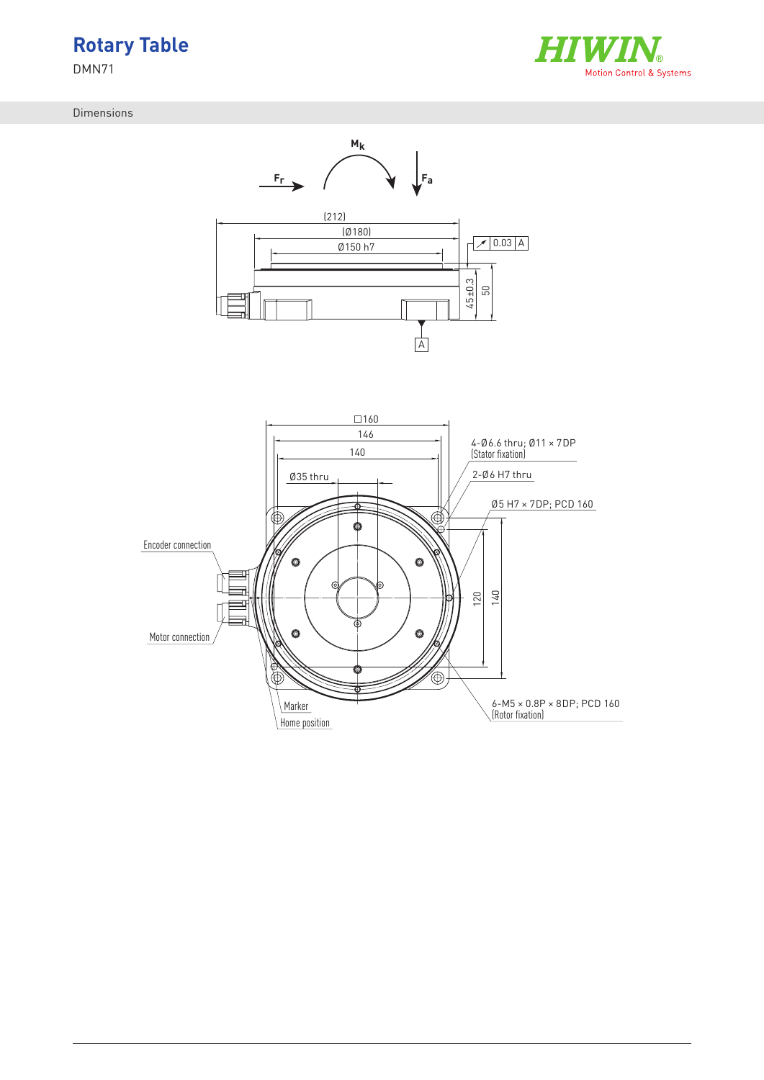



Dimensions